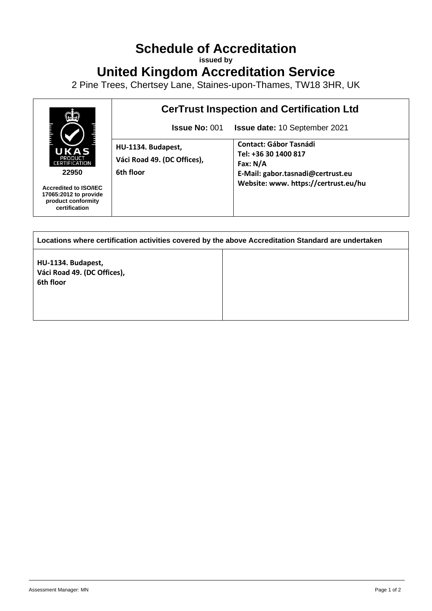## **Schedule of Accreditation**

**issued by**

**United Kingdom Accreditation Service**

2 Pine Trees, Chertsey Lane, Staines-upon-Thames, TW18 3HR, UK



| Locations where certification activities covered by the above Accreditation Standard are undertaken |  |  |
|-----------------------------------------------------------------------------------------------------|--|--|
| HU-1134. Budapest,<br>Váci Road 49. (DC Offices),<br>6th floor                                      |  |  |